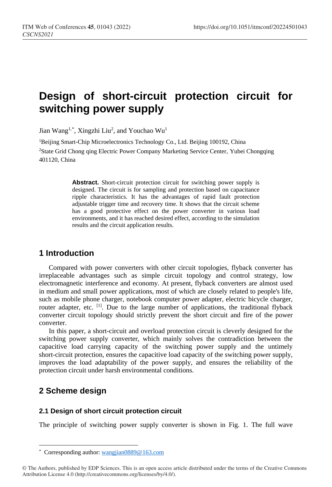# **Design of short-circuit protection circuit for switching power supply**

Jian Wang<sup>1,[\\*](#page-0-0)</sup>, Xingzhi Liu<sup>2</sup>, and Youchao Wu<sup>1</sup>

<sup>1</sup>Beijing Smart-Chip Microelectronics Technology Co., Ltd. Beijing 100192, China 2State Grid Chong qing Electric Power Company Marketing Service Center, Yubei Chongqing 401120, China

> Abstract. Short-circuit protection circuit for switching power supply is designed. The circuit is for sampling and protection based on capacitance ripple characteristics. It has the advantages of rapid fault protection adjustable trigger time and recovery time. It shows that the circuit scheme has a good protective effect on the power converter in various load environments, and it has reached desired effect, according to the simulation results and the circuit application results.

## **1 Introduction**

Compared with power converters with other circuit topologies, flyback converter has irreplaceable advantages such as simple circuit topology and control strategy, low electromagnetic interference and economy. At present, flyback converters are almost used in medium and small power applications, most of which are closely related to people's life, such as mobile phone charger, notebook computer power adapter, electric bicycle charger, router adapter, etc. <sup>[1]</sup>. Due to the large number of applications, the traditional flyback converter circuit topology should strictly prevent the short circuit and fire of the power converter.

In this paper, a short-circuit and overload protection circuit is cleverly designed for the switching power supply converter, which mainly solves the contradiction between the capacitive load carrying capacity of the switching power supply and the untimely short-circuit protection, ensures the capacitive load capacity of the switching power supply, improves the load adaptability of the power supply, and ensures the reliability of the protection circuit under harsh environmental conditions.

# **2 Scheme design**

 $\overline{a}$ 

#### **2.1 Design of short circuit protection circuit**

The principle of switching power supply converter is shown in Fig. 1. The full wave

<sup>\*</sup> Corresponding author: [wangjian0889@163.com](mailto:wangjian0889@163.com)

<span id="page-0-0"></span><sup>©</sup> The Authors, published by EDP Sciences. This is an open access article distributed under the terms of the Creative Commons Attribution License 4.0 (http://creativecommons.org/licenses/by/4.0/).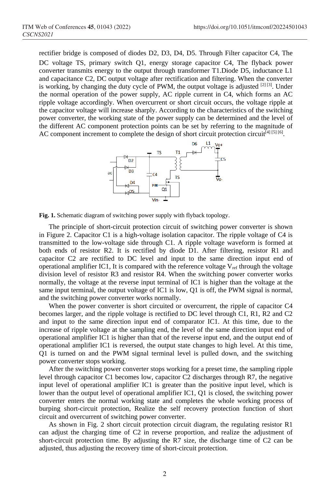rectifier bridge is composed of diodes D2, D3, D4, D5. Through Filter capacitor C4, The DC voltage TS, primary switch Q1, energy storage capacitor C4, The flyback power converter transmits energy to the output through transformer T1.Diode D5, inductance L1 and capacitance C2, DC output voltage after rectification and filtering. When the converter is working, by changing the duty cycle of PWM, the output voltage is adjusted  $[2]$  [3]. Under the normal operation of the power supply, AC ripple current in C4, which forms an AC ripple voltage accordingly. When overcurrent or short circuit occurs, the voltage ripple at the capacitor voltage will increase sharply. According to the characteristics of the switching power converter, the working state of the power supply can be determined and the level of the different AC component protection points can be set by referring to the magnitude of AC component increment to complete the design of short circuit protection circuit<sup>[4] [5] [6]</sup>.



**Fig. 1.** Schematic diagram of switching power supply with flyback topology.

The principle of short-circuit protection circuit of switching power converter is shown in Figure 2. Capacitor C1 is a high-voltage isolation capacitor. The ripple voltage of C4 is transmitted to the low-voltage side through C1. A ripple voltage waveform is formed at both ends of resistor R2. It is rectified by diode D1. After filtering, resistor R1 and capacitor C2 are rectified to DC level and input to the same direction input end of operational amplifier IC1, It is compared with the reference voltage  $V_{ref}$  through the voltage division level of resistor R3 and resistor R4. When the switching power converter works normally, the voltage at the reverse input terminal of IC1 is higher than the voltage at the same input terminal, the output voltage of IC1 is low, Q1 is off, the PWM signal is normal, and the switching power converter works normally.

When the power converter is short circuited or overcurrent, the ripple of capacitor C4 becomes larger, and the ripple voltage is rectified to DC level through C1, R1, R2 and C2 and input to the same direction input end of comparator IC1. At this time, due to the increase of ripple voltage at the sampling end, the level of the same direction input end of operational amplifier IC1 is higher than that of the reverse input end, and the output end of operational amplifier IC1 is reversed, the output state changes to high level. At this time, Q1 is turned on and the PWM signal terminal level is pulled down, and the switching power converter stops working.

After the switching power converter stops working for a preset time, the sampling ripple level through capacitor C1 becomes low, capacitor C2 discharges through R7, the negative input level of operational amplifier IC1 is greater than the positive input level, which is lower than the output level of operational amplifier IC1, Q1 is closed, the switching power converter enters the normal working state and completes the whole working process of burping short-circuit protection, Realize the self recovery protection function of short circuit and overcurrent of switching power converter.

As shown in Fig. 2 short circuit protection circuit diagram, the regulating resistor R1 can adjust the charging time of C2 in reverse proportion, and realize the adjustment of short-circuit protection time. By adjusting the R7 size, the discharge time of C2 can be adjusted, thus adjusting the recovery time of short-circuit protection.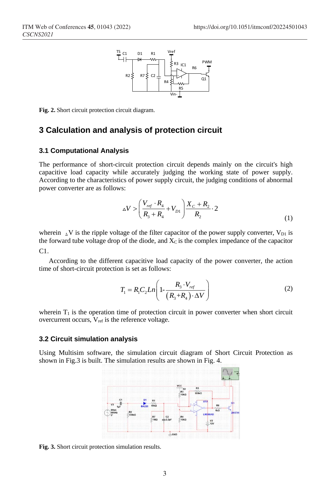

**Fig. 2.** Short circuit protection circuit diagram.

### **3 Calculation and analysis of protection circuit**

#### **3.1 Computational Analysis**

The performance of short-circuit protection circuit depends mainly on the circuit's high capacitive load capacity while accurately judging the working state of power supply. According to the characteristics of power supply circuit, the judging conditions of abnormal power converter are as follows:

$$
\Delta V > \left(\frac{V_{ref} \cdot R_4}{R_3 + R_4} + V_{D1}\right) \frac{X_c + R_2}{R_2} \cdot 2 \tag{1}
$$

wherein  $\Delta V$  is the ripple voltage of the filter capacitor of the power supply converter,  $V_{\text{D1}}$  is the forward tube voltage drop of the diode, and  $X<sub>C</sub>$  is the complex impedance of the capacitor C1.

According to the different capacitive load capacity of the power converter, the action time of short-circuit protection is set as follows:

$$
T_1 = R_1 C_2 Ln \left( 1 - \frac{R_3 \cdot V_{ref}}{(R_3 + R_4) \cdot \Delta V} \right) \tag{2}
$$

wherein  $T_1$  is the operation time of protection circuit in power converter when short circuit overcurrent occurs,  $V_{ref}$  is the reference voltage.

#### **3.2 Circuit simulation analysis**

Using Multisim software, the simulation circuit diagram of Short Circuit Protection as shown in Fig.3 is built. The simulation results are shown in Fig. 4.



**Fig. 3.** Short circuit protection simulation results.